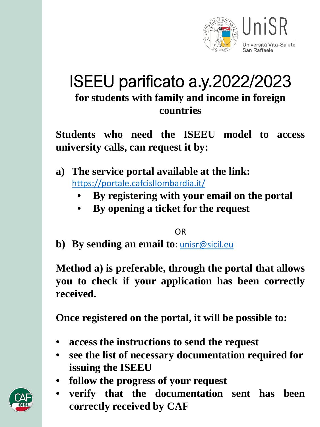

## ISEEU parificato a.y.2022/2023 **for students with family and income in foreign countries**

**Students who need the ISEEU model to access university calls, can request it by:**

- **a) The service portal available at the link:** <https://portale.cafcisllombardia.it/>
	- **By registering with your email on the portal**
	- **By opening a ticket for the request**

OR

**b) By sending an email to**: [unisr@sicil.eu](mailto:unibg@sicil.eu)

**Method a) is preferable, through the portal that allows you to check if your application has been correctly received.**

**Once registered on the portal, it will be possible to:**

- **access the instructions to send the request**
- **see the list of necessary documentation required for issuing the ISEEU**
- **follow the progress of your request**
- **verify that the documentation sent has been correctly received by CAF**

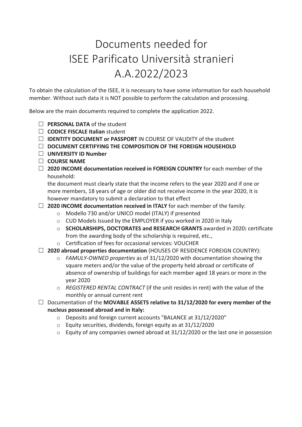## Documents needed for ISEE Parificato Università stranieri A.A.2022/2023

To obtain the calculation of the ISEE, it is necessary to have some information for each household member. Without such data it is NOT possible to perform the calculation and processing.

Below are the main documents required to complete the application 2022.

- □ **PERSONAL DATA** of the student
- £ **CODICE FISCALE Italian** student
- £ **IDENTITY DOCUMENT or PASSPORT** IN COURSE OF VALIDITY of the student
- £ **DOCUMENT CERTIFYING THE COMPOSITION OF THE FOREIGN HOUSEHOLD**
- £ **UNIVERSITY ID Number**
- £ **COURSE NAME**
- £ **2020 INCOME documentation received in FOREIGN COUNTRY** for each member of the household:

the document must clearly state that the income refers to the year 2020 and if one or more members, 18 years of age or older did not receive income in the year 2020, it is however mandatory to submit a declaration to that effect

- £ **2020 INCOME documentation received in ITALY** for each member of the family:
	- o Modello 730 and/or UNICO model (ITALY) if presented
	- o CUD Models Issued by the EMPLOYER if you worked in 2020 in Italy
	- o **SCHOLARSHIPS, DOCTORATES and RESEARCH GRANTS** awarded in 2020**:** certificate from the awarding body of the scholarship is required, etc.,
	- o Certification of fees for occasional services: VOUCHER
- £ **2020 abroad properties documentation** (HOUSES OF RESIDENCE FOREIGN COUNTRY):
	- o *FAMULY-OWNED properties* as of 31/12/2020 with documentation showing the square meters and/or the value of the property held abroad or certificate of absence of ownership of buildings for each member aged 18 years or more in the year 2020
	- o *REGISTERED RENTAL CONTRACT* (if the unit resides in rent) with the value of the monthly or annual current rent
- £ Documentation of the **MOVABLE ASSETS relative to 31/12/2020 for every member of the nucleus possessed abroad and in Italy:**
	- o Deposits and foreign current accounts "BALANCE at 31/12/2020"
	- o Equity securities, dividends, foreign equity as at 31/12/2020
	- o Equity of any companies owned abroad at 31/12/2020 or the last one in possession